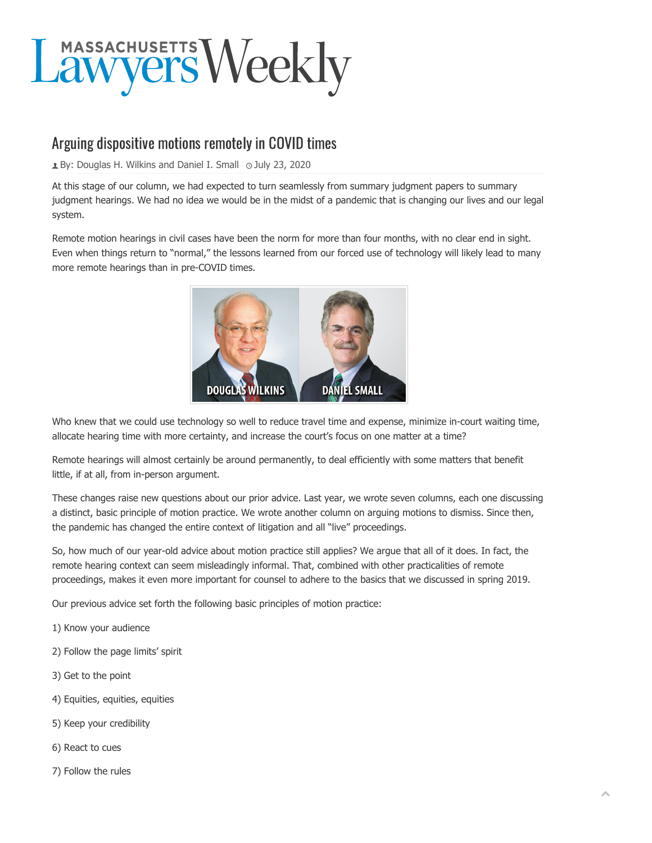

## Arguing dispositive motions remotely in COVID times

**E** By: [Douglas H. Wilkins and Daniel I. Small](https://masslawyersweekly.com/author/wilkinssmall/)  $\odot$  July 23, 2020

At this stage of our column, we had expected to turn seamlessly from summary judgment papers to summary judgment hearings. We had no idea we would be in the midst of a pandemic that is changing our lives and our legal system.

Remote motion hearings in civil cases have been the norm for more than four months, with no clear end in sight. Even when things return to "normal," the lessons learned from our forced use of technology will likely lead to many more remote hearings than in pre-COVID times.



Who knew that we could use technology so well to reduce travel time and expense, minimize in-court waiting time, allocate hearing time with more certainty, and increase the court's focus on one matter at a time?

Remote hearings will almost certainly be around permanently, to deal efficiently with some matters that benefit little, if at all, from in-person argument.

These changes raise new questions about our prior advice. Last year, we wrote seven columns, each one discussing a distinct, basic principle of motion practice. We wrote another column on arguing motions to dismiss. Since then, the pandemic has changed the entire context of litigation and all "live" proceedings.

So, how much of our year-old advice about motion practice still applies? We argue that all of it does. In fact, the remote hearing context can seem misleadingly informal. That, combined with other practicalities of remote proceedings, makes it even more important for counsel to adhere to the basics that we discussed in spring 2019.

Our previous advice set forth the following basic principles of motion practice:

- 1) Know your audience
- 2) Follow the page limits' spirit
- 3) Get to the point
- 4) Equities, equities, equities
- 5) Keep your credibility
- 6) React to cues
- 7) Follow the rules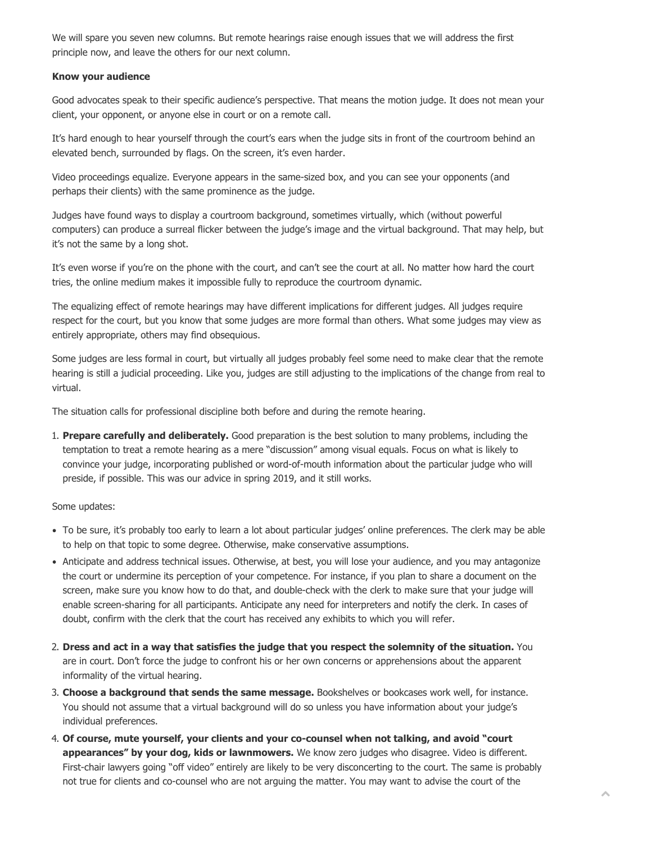We will spare you seven new columns. But remote hearings raise enough issues that we will address the first principle now, and leave the others for our next column.

## **Know your audience**

Good advocates speak to their specific audience's perspective. That means the motion judge. It does not mean your client, your opponent, or anyone else in court or on a remote call.

It's hard enough to hear yourself through the court's ears when the judge sits in front of the courtroom behind an elevated bench, surrounded by flags. On the screen, it's even harder.

Video proceedings equalize. Everyone appears in the same-sized box, and you can see your opponents (and perhaps their clients) with the same prominence as the judge.

Judges have found ways to display a courtroom background, sometimes virtually, which (without powerful computers) can produce a surreal flicker between the judge's image and the virtual background. That may help, but it's not the same by a long shot.

It's even worse if you're on the phone with the court, and can't see the court at all. No matter how hard the court tries, the online medium makes it impossible fully to reproduce the courtroom dynamic.

The equalizing effect of remote hearings may have different implications for different judges. All judges require respect for the court, but you know that some judges are more formal than others. What some judges may view as entirely appropriate, others may find obsequious.

Some judges are less formal in court, but virtually all judges probably feel some need to make clear that the remote hearing is still a judicial proceeding. Like you, judges are still adjusting to the implications of the change from real to virtual.

The situation calls for professional discipline both before and during the remote hearing.

1. **Prepare carefully and deliberately.** Good preparation is the best solution to many problems, including the temptation to treat a remote hearing as a mere "discussion" among visual equals. Focus on what is likely to convince your judge, incorporating published or word-of-mouth information about the particular judge who will preside, if possible. This was our advice in spring 2019, and it still works.

## Some updates:

- To be sure, it's probably too early to learn a lot about particular judges' online preferences. The clerk may be able to help on that topic to some degree. Otherwise, make conservative assumptions.
- Anticipate and address technical issues. Otherwise, at best, you will lose your audience, and you may antagonize the court or undermine its perception of your competence. For instance, if you plan to share a document on the screen, make sure you know how to do that, and double-check with the clerk to make sure that your judge will enable screen-sharing for all participants. Anticipate any need for interpreters and notify the clerk. In cases of doubt, confirm with the clerk that the court has received any exhibits to which you will refer.
- 2. **Dress and act in a way that satisfies the judge that you respect the solemnity of the situation.** You are in court. Don't force the judge to confront his or her own concerns or apprehensions about the apparent informality of the virtual hearing.
- 3. **Choose a background that sends the same message.** Bookshelves or bookcases work well, for instance. You should not assume that a virtual background will do so unless you have information about your judge's individual preferences.
- 4. **Of course, mute yourself, your clients and your co-counsel when not talking, and avoid "court appearances" by your dog, kids or lawnmowers.** We know zero judges who disagree. Video is different. First-chair lawyers going "off video" entirely are likely to be very disconcerting to the court. The same is probably not true for clients and co-counsel who are not arguing the matter. You may want to advise the court of the